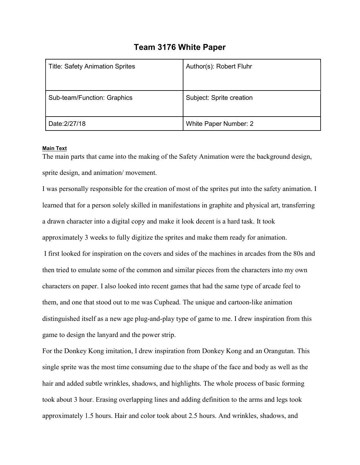## Team 3176 White Paper

| <b>Title: Safety Animation Sprites</b> | Author(s): Robert Fluhr  |
|----------------------------------------|--------------------------|
| Sub-team/Function: Graphics            | Subject: Sprite creation |
| Date: 2/27/18                          | White Paper Number: 2    |

## Main Text

The main parts that came into the making of the Safety Animation were the background design, sprite design, and animation/ movement.

I was personally responsible for the creation of most of the sprites put into the safety animation. I learned that for a person solely skilled in manifestations in graphite and physical art, transferring a drawn character into a digital copy and make it look decent is a hard task. It took approximately 3 weeks to fully digitize the sprites and make them ready for animation. I first looked for inspiration on the covers and sides of the machines in arcades from the 80s and then tried to emulate some of the common and similar pieces from the characters into my own characters on paper. I also looked into recent games that had the same type of arcade feel to them, and one that stood out to me was Cuphead. The unique and cartoon-like animation distinguished itself as a new age plug-and-play type of game to me. I drew inspiration from this

game to design the lanyard and the power strip.

For the Donkey Kong imitation, I drew inspiration from Donkey Kong and an Orangutan. This single sprite was the most time consuming due to the shape of the face and body as well as the hair and added subtle wrinkles, shadows, and highlights. The whole process of basic forming took about 3 hour. Erasing overlapping lines and adding definition to the arms and legs took approximately 1.5 hours. Hair and color took about 2.5 hours. And wrinkles, shadows, and